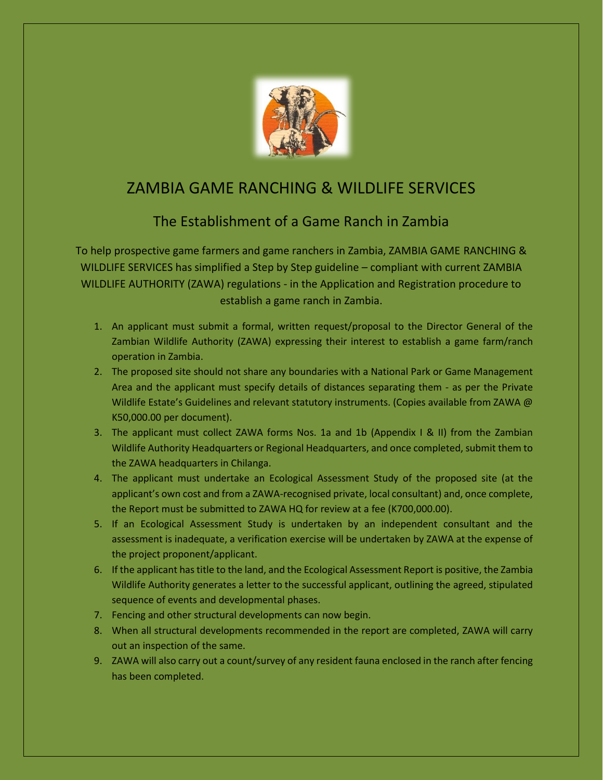

## ZAMBIA GAME RANCHING & WILDLIFE SERVICES

## The Establishment of a Game Ranch in Zambia

To help prospective game farmers and game ranchers in Zambia, ZAMBIA GAME RANCHING & WILDLIFE SERVICES has simplified a Step by Step guideline – compliant with current ZAMBIA WILDLIFE AUTHORITY (ZAWA) regulations - in the Application and Registration procedure to establish a game ranch in Zambia.

- 1. An applicant must submit a formal, written request/proposal to the Director General of the Zambian Wildlife Authority (ZAWA) expressing their interest to establish a game farm/ranch operation in Zambia.
- 2. The proposed site should not share any boundaries with a National Park or Game Management Area and the applicant must specify details of distances separating them - as per the Private Wildlife Estate's Guidelines and relevant statutory instruments. (Copies available from ZAWA @ K50,000.00 per document).
- 3. The applicant must collect ZAWA forms Nos. 1a and 1b (Appendix I & II) from the Zambian Wildlife Authority Headquarters or Regional Headquarters, and once completed, submit them to the ZAWA headquarters in Chilanga.
- 4. The applicant must undertake an Ecological Assessment Study of the proposed site (at the applicant's own cost and from a ZAWA-recognised private, local consultant) and, once complete, the Report must be submitted to ZAWA HQ for review at a fee (K700,000.00).
- 5. If an Ecological Assessment Study is undertaken by an independent consultant and the assessment is inadequate, a verification exercise will be undertaken by ZAWA at the expense of the project proponent/applicant.
- 6. If the applicant has title to the land, and the Ecological Assessment Report is positive, the Zambia Wildlife Authority generates a letter to the successful applicant, outlining the agreed, stipulated sequence of events and developmental phases.
- 7. Fencing and other structural developments can now begin.
- 8. When all structural developments recommended in the report are completed, ZAWA will carry out an inspection of the same.
- 9. ZAWA will also carry out a count/survey of any resident fauna enclosed in the ranch after fencing has been completed.